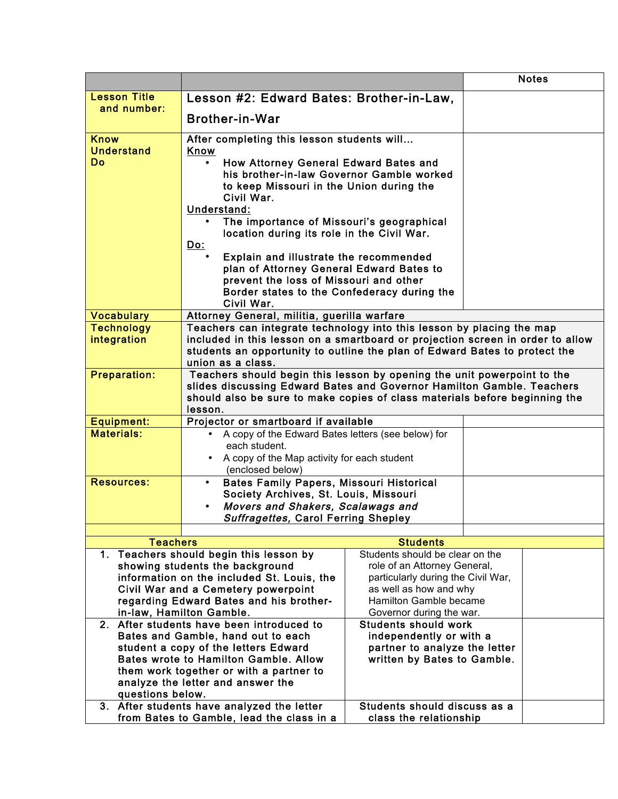|                                                                              |                                                                                                                                                                                                                                                        |                                                    |  | <b>Notes</b> |  |
|------------------------------------------------------------------------------|--------------------------------------------------------------------------------------------------------------------------------------------------------------------------------------------------------------------------------------------------------|----------------------------------------------------|--|--------------|--|
| <b>Lesson Title</b>                                                          | Lesson #2: Edward Bates: Brother-in-Law,                                                                                                                                                                                                               |                                                    |  |              |  |
| and number:                                                                  |                                                                                                                                                                                                                                                        |                                                    |  |              |  |
|                                                                              | <b>Brother-in-War</b>                                                                                                                                                                                                                                  |                                                    |  |              |  |
| <b>Know</b><br><b>Understand</b>                                             | After completing this lesson students will<br>Know                                                                                                                                                                                                     |                                                    |  |              |  |
| <b>Do</b>                                                                    | How Attorney General Edward Bates and<br>his brother-in-law Governor Gamble worked<br>to keep Missouri in the Union during the<br>Civil War.<br>Understand:<br>The importance of Missouri's geographical<br>location during its role in the Civil War. |                                                    |  |              |  |
|                                                                              | <u>Do:</u>                                                                                                                                                                                                                                             |                                                    |  |              |  |
|                                                                              | Explain and illustrate the recommended<br>plan of Attorney General Edward Bates to<br>prevent the loss of Missouri and other<br>Border states to the Confederacy during the                                                                            |                                                    |  |              |  |
| <b>Vocabulary</b>                                                            | Civil War.<br>Attorney General, militia, guerilla warfare                                                                                                                                                                                              |                                                    |  |              |  |
| <b>Technology</b>                                                            |                                                                                                                                                                                                                                                        |                                                    |  |              |  |
| integration                                                                  | Teachers can integrate technology into this lesson by placing the map<br>included in this lesson on a smartboard or projection screen in order to allow                                                                                                |                                                    |  |              |  |
|                                                                              | students an opportunity to outline the plan of Edward Bates to protect the                                                                                                                                                                             |                                                    |  |              |  |
|                                                                              | union as a class.                                                                                                                                                                                                                                      |                                                    |  |              |  |
| <b>Preparation:</b>                                                          | Teachers should begin this lesson by opening the unit powerpoint to the<br>slides discussing Edward Bates and Governor Hamilton Gamble. Teachers<br>should also be sure to make copies of class materials before beginning the<br>lesson.              |                                                    |  |              |  |
| <b>Equipment:</b>                                                            | Projector or smartboard if available                                                                                                                                                                                                                   |                                                    |  |              |  |
| <b>Materials:</b>                                                            |                                                                                                                                                                                                                                                        |                                                    |  |              |  |
|                                                                              | each student.                                                                                                                                                                                                                                          | A copy of the Edward Bates letters (see below) for |  |              |  |
|                                                                              | • A copy of the Map activity for each student                                                                                                                                                                                                          |                                                    |  |              |  |
| <b>Resources:</b>                                                            | (enclosed below)                                                                                                                                                                                                                                       |                                                    |  |              |  |
|                                                                              | <b>Bates Family Papers, Missouri Historical</b><br>$\bullet$<br>Society Archives, St. Louis, Missouri                                                                                                                                                  |                                                    |  |              |  |
|                                                                              | Movers and Shakers, Scalawags and                                                                                                                                                                                                                      |                                                    |  |              |  |
|                                                                              | Suffragettes, Carol Ferring Shepley                                                                                                                                                                                                                    |                                                    |  |              |  |
|                                                                              |                                                                                                                                                                                                                                                        |                                                    |  |              |  |
| <b>Teachers</b>                                                              |                                                                                                                                                                                                                                                        | <b>Students</b>                                    |  |              |  |
|                                                                              | 1. Teachers should begin this lesson by                                                                                                                                                                                                                | Students should be clear on the                    |  |              |  |
|                                                                              | showing students the background                                                                                                                                                                                                                        | role of an Attorney General,                       |  |              |  |
|                                                                              | information on the included St. Louis, the                                                                                                                                                                                                             | particularly during the Civil War,                 |  |              |  |
|                                                                              | Civil War and a Cemetery powerpoint                                                                                                                                                                                                                    | as well as how and why                             |  |              |  |
| regarding Edward Bates and his brother-                                      |                                                                                                                                                                                                                                                        | Hamilton Gamble became                             |  |              |  |
| in-law, Hamilton Gamble.                                                     |                                                                                                                                                                                                                                                        | Governor during the war.                           |  |              |  |
| 2. After students have been introduced to                                    |                                                                                                                                                                                                                                                        | <b>Students should work</b>                        |  |              |  |
| Bates and Gamble, hand out to each                                           |                                                                                                                                                                                                                                                        | independently or with a                            |  |              |  |
| student a copy of the letters Edward                                         |                                                                                                                                                                                                                                                        | partner to analyze the letter                      |  |              |  |
| <b>Bates wrote to Hamilton Gamble, Allow</b>                                 |                                                                                                                                                                                                                                                        | written by Bates to Gamble.                        |  |              |  |
| them work together or with a partner to<br>analyze the letter and answer the |                                                                                                                                                                                                                                                        |                                                    |  |              |  |
| questions below.                                                             |                                                                                                                                                                                                                                                        |                                                    |  |              |  |
| 3. After students have analyzed the letter<br>Students should discuss as a   |                                                                                                                                                                                                                                                        |                                                    |  |              |  |
| from Bates to Gamble, lead the class in a                                    |                                                                                                                                                                                                                                                        | class the relationship                             |  |              |  |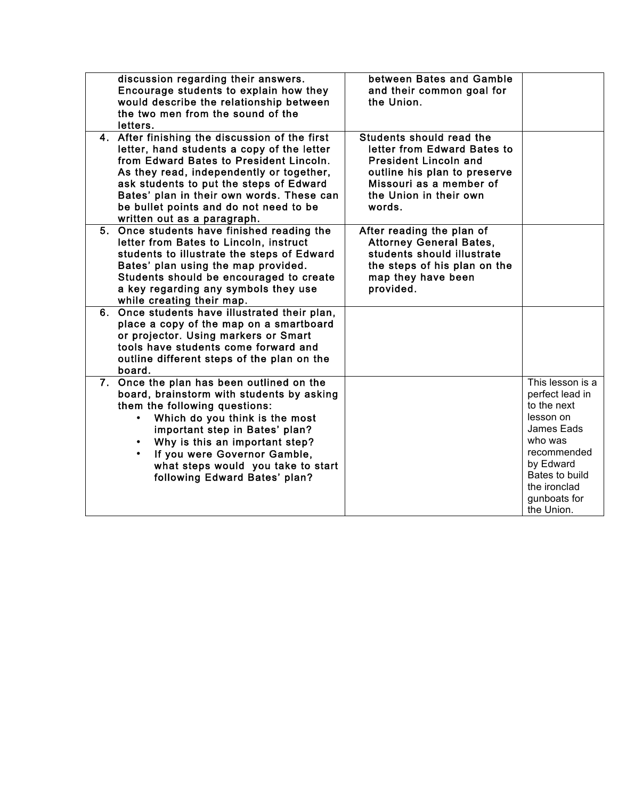| discussion regarding their answers.<br>Encourage students to explain how they<br>would describe the relationship between<br>the two men from the sound of the<br>letters.                                                                                                                                                                            | between Bates and Gamble<br>and their common goal for<br>the Union.                                                                                                                    |                                                                                                                                                                                      |
|------------------------------------------------------------------------------------------------------------------------------------------------------------------------------------------------------------------------------------------------------------------------------------------------------------------------------------------------------|----------------------------------------------------------------------------------------------------------------------------------------------------------------------------------------|--------------------------------------------------------------------------------------------------------------------------------------------------------------------------------------|
| 4. After finishing the discussion of the first<br>letter, hand students a copy of the letter<br>from Edward Bates to President Lincoln.<br>As they read, independently or together,<br>ask students to put the steps of Edward<br>Bates' plan in their own words. These can<br>be bullet points and do not need to be<br>written out as a paragraph. | Students should read the<br>letter from Edward Bates to<br><b>President Lincoln and</b><br>outline his plan to preserve<br>Missouri as a member of<br>the Union in their own<br>words. |                                                                                                                                                                                      |
| 5. Once students have finished reading the<br>letter from Bates to Lincoln, instruct<br>students to illustrate the steps of Edward<br>Bates' plan using the map provided.<br>Students should be encouraged to create<br>a key regarding any symbols they use<br>while creating their map.                                                            | After reading the plan of<br><b>Attorney General Bates,</b><br>students should illustrate<br>the steps of his plan on the<br>map they have been<br>provided.                           |                                                                                                                                                                                      |
| 6. Once students have illustrated their plan,<br>place a copy of the map on a smartboard<br>or projector. Using markers or Smart<br>tools have students come forward and<br>outline different steps of the plan on the<br>board.                                                                                                                     |                                                                                                                                                                                        |                                                                                                                                                                                      |
| 7. Once the plan has been outlined on the<br>board, brainstorm with students by asking<br>them the following questions:<br>Which do you think is the most<br>$\bullet$<br>important step in Bates' plan?<br>Why is this an important step?<br>If you were Governor Gamble,<br>what steps would you take to start<br>following Edward Bates' plan?    |                                                                                                                                                                                        | This lesson is a<br>perfect lead in<br>to the next<br>lesson on<br>James Eads<br>who was<br>recommended<br>by Edward<br>Bates to build<br>the ironclad<br>gunboats for<br>the Union. |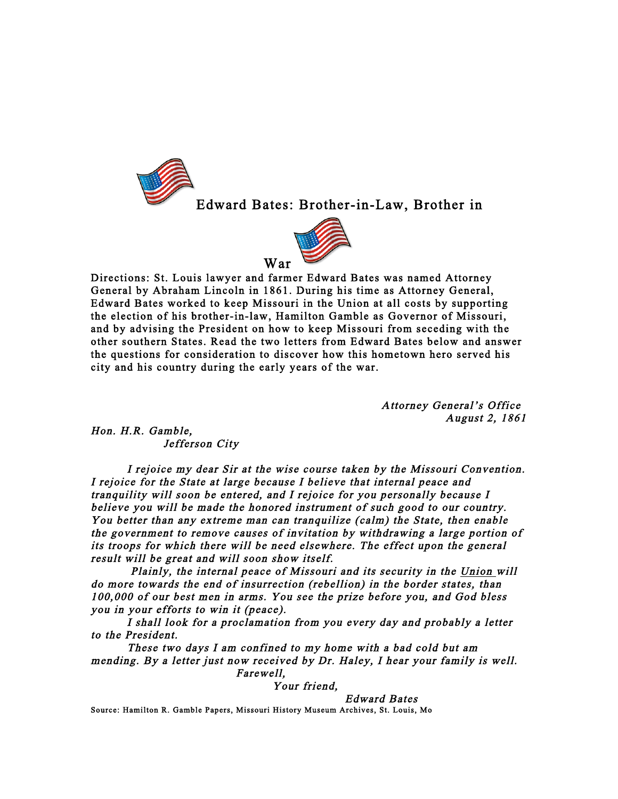

Edward Bates: Brother-in-Law, Brother in



Directions: St. Louis lawyer and farmer Edward Bates was named Attorney General by Abraham Lincoln in 1861. During his time as Attorney General, Edward Bates worked to keep Missouri in the Union at all costs by supporting the election of his brother-in-law, Hamilton Gamble as Governor of Missouri, and by advising the President on how to keep Missouri from seceding with the other southern States. Read the two letters from Edward Bates below and answer the questions for consideration to discover how this hometown hero served his city and his country during the early years of the war.

> Attorney General's Office August 2, 1861

Hon. H.R. Gamble, Jefferson City

 I rejoice my dear Sir at the wise course taken by the Missouri Convention. I rejoice for the State at large because I believe that internal peace and tranquility will soon be entered, and I rejoice for you personally because I believe you will be made the honored instrument of such good to our country. You better than any extreme man can tranquilize (calm) the State, then enable the government to remove causes of invitation by withdrawing a large portion of its troops for which there will be need elsewhere. The effect upon the general result will be great and will soon show itself.

 Plainly, the internal peace of Missouri and its security in the Union will do more towards the end of insurrection (rebellion) in the border states, than 100,000 of our best men in arms. You see the prize before you, and God bless you in your efforts to win it (peace).

I shall look for a proclamation from you every day and probably a letter to the President.

These two days I am confined to my home with a bad cold but am mending. By a letter just now received by Dr. Haley, I hear your family is well.

Farewell,

Your friend,

 Edward Bates Source: Hamilton R. Gamble Papers, Missouri History Museum Archives, St. Louis, Mo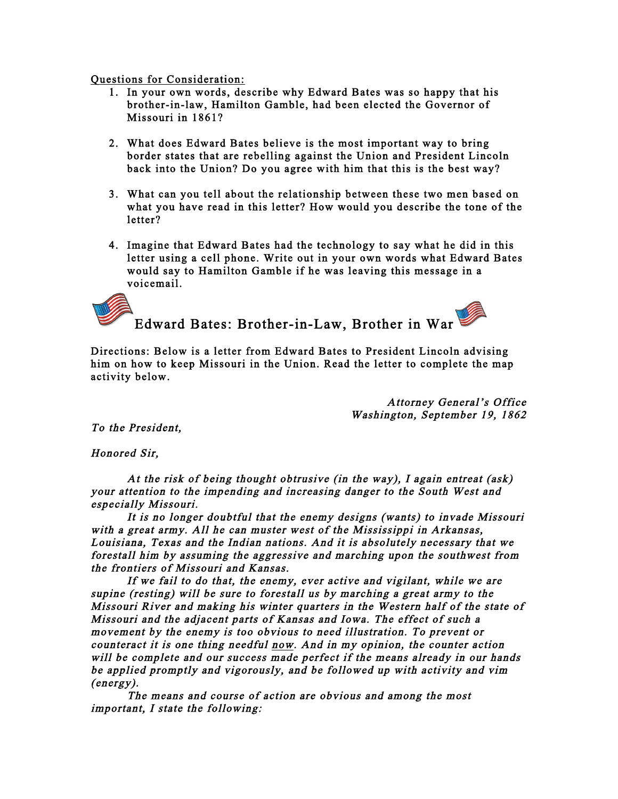Questions for Consideration:

- 1. In your own words, describe why Edward Bates was so happy that his brother-in-law, Hamilton Gamble, had been elected the Governor of Missouri in 1861?
- 2. What does Edward Bates believe is the most important way to bring border states that are rebelling against the Union and President Lincoln back into the Union? Do you agree with him that this is the best way?
- 3. What can you tell about the relationship between these two men based on what you have read in this letter? How would you describe the tone of the letter?
- 4. Imagine that Edward Bates had the technology to say what he did in this letter using a cell phone. Write out in your own words what Edward Bates would say to Hamilton Gamble if he was leaving this message in a voicemail.

Edward Bates: Brother-in-Law, Brother in War

Directions: Below is a letter from Edward Bates to President Lincoln advising him on how to keep Missouri in the Union. Read the letter to complete the map activity below.

> Attorney General's Office Washington, September 19, 1862

To the President,

Honored Sir,

 At the risk of being thought obtrusive (in the way), I again entreat (ask) your attention to the impending and increasing danger to the South West and especially Missouri.

 It is no longer doubtful that the enemy designs (wants) to invade Missouri with a great army. All he can muster west of the Mississippi in Arkansas, Louisiana, Texas and the Indian nations. And it is absolutely necessary that we forestall him by assuming the aggressive and marching upon the southwest from the frontiers of Missouri and Kansas.

 If we fail to do that, the enemy, ever active and vigilant, while we are supine (resting) will be sure to forestall us by marching a great army to the Missouri River and making his winter quarters in the Western half of the state of Missouri and the adjacent parts of Kansas and Iowa. The effect of such a movement by the enemy is too obvious to need illustration. To prevent or counteract it is one thing needful now. And in my opinion, the counter action will be complete and our success made perfect if the means already in our hands be applied promptly and vigorously, and be followed up with activity and vim (energy).

 The means and course of action are obvious and among the most important, I state the following: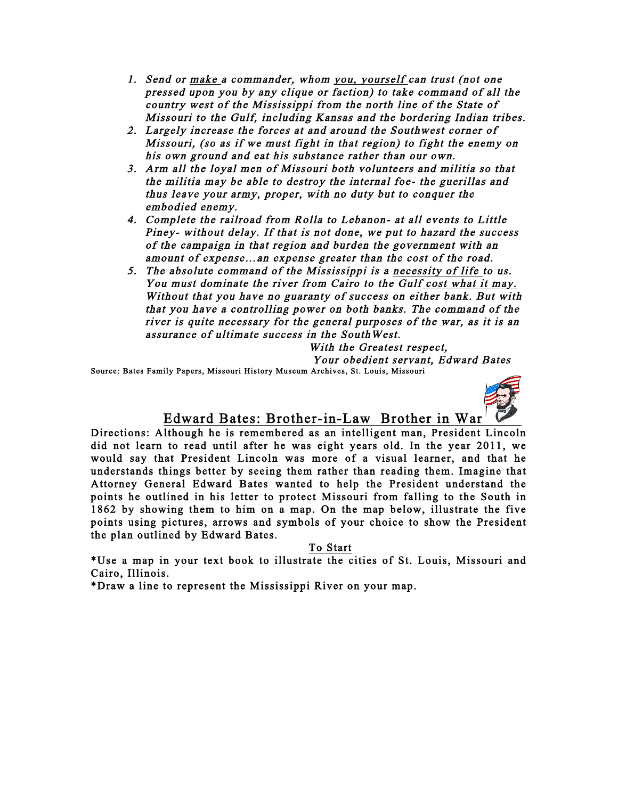- 1. Send or make a commander, whom you, yourself can trust (not one pressed upon you by any clique or faction) to take command of all the country west of the Mississippi from the north line of the State of Missouri to the Gulf, including Kansas and the bordering Indian tribes.
- 2. Largely increase the forces at and around the Southwest corner of Missouri, (so as if we must fight in that region) to fight the enemy on his own ground and eat his substance rather than our own.
- 3. Arm all the loyal men of Missouri both volunteers and militia so that the militia may be able to destroy the internal foe- the guerillas and thus leave your army, proper, with no duty but to conquer the embodied enemy.
- 4. Complete the railroad from Rolla to Lebanon- at all events to Little Piney- without delay. If that is not done, we put to hazard the success of the campaign in that region and burden the government with an amount of expense…an expense greater than the cost of the road.
- 5. The absolute command of the Mississippi is a necessity of life to us. You must dominate the river from Cairo to the Gulf cost what it may. Without that you have no guaranty of success on either bank. But with that you have a controlling power on both banks. The command of the river is quite necessary for the general purposes of the war, as it is an assurance of ultimate success in the SouthWest.

With the Greatest respect,

Your obedient servant, Edward Bates

Source: Bates Family Papers, Missouri History Museum Archives, St. Louis, Missouri



## Edward Bates: Brother-in-Law Brother in War

Directions: Although he is remembered as an intelligent man, President Lincoln did not learn to read until after he was eight years old. In the year 2011, we would say that President Lincoln was more of a visual learner, and that he understands things better by seeing them rather than reading them. Imagine that Attorney General Edward Bates wanted to help the President understand the points he outlined in his letter to protect Missouri from falling to the South in 1862 by showing them to him on a map. On the map below, illustrate the five points using pictures, arrows and symbols of your choice to show the President the plan outlined by Edward Bates.

To Start

\*Use a map in your text book to illustrate the cities of St. Louis, Missouri and Cairo, Illinois.

\*Draw a line to represent the Mississippi River on your map.